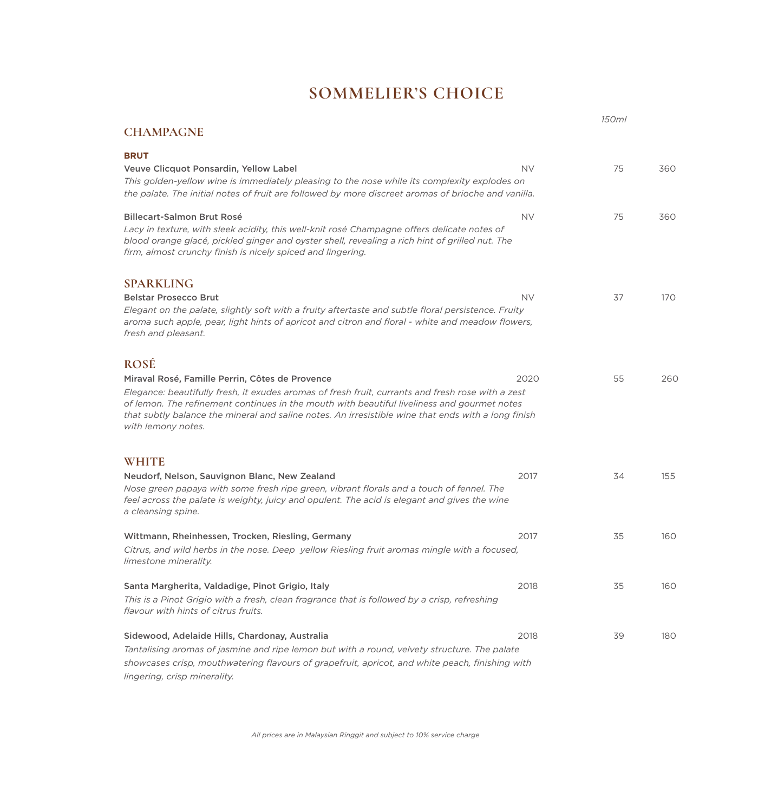## **SOMMELIER'S CHOICE**

|                                                                                                                                                                                                                                                                                                                                                                                                 |           | 150ml |     |
|-------------------------------------------------------------------------------------------------------------------------------------------------------------------------------------------------------------------------------------------------------------------------------------------------------------------------------------------------------------------------------------------------|-----------|-------|-----|
| <b>CHAMPAGNE</b>                                                                                                                                                                                                                                                                                                                                                                                |           |       |     |
| <b>BRUT</b><br>Veuve Clicquot Ponsardin, Yellow Label<br>This golden-yellow wine is immediately pleasing to the nose while its complexity explodes on<br>the palate. The initial notes of fruit are followed by more discreet aromas of brioche and vanilla.                                                                                                                                    | <b>NV</b> | 75    | 360 |
| <b>Billecart-Salmon Brut Rosé</b><br>Lacy in texture, with sleek acidity, this well-knit rosé Champagne offers delicate notes of<br>blood orange glacé, pickled ginger and oyster shell, revealing a rich hint of grilled nut. The<br>firm, almost crunchy finish is nicely spiced and lingering.                                                                                               | <b>NV</b> | 75    | 360 |
| <b>SPARKLING</b><br><b>Belstar Prosecco Brut</b><br>Elegant on the palate, slightly soft with a fruity aftertaste and subtle floral persistence. Fruity<br>aroma such apple, pear, light hints of apricot and citron and floral - white and meadow flowers,<br>fresh and pleasant.                                                                                                              | <b>NV</b> | 37    | 170 |
| <b>ROSÉ</b><br>Miraval Rosé, Famille Perrin, Côtes de Provence<br>Elegance: beautifully fresh, it exudes aromas of fresh fruit, currants and fresh rose with a zest<br>of lemon. The refinement continues in the mouth with beautiful liveliness and gourmet notes<br>that subtly balance the mineral and saline notes. An irresistible wine that ends with a long finish<br>with lemony notes. | 2020      | 55    | 260 |
| <b>WHITE</b><br>Neudorf, Nelson, Sauvignon Blanc, New Zealand<br>Nose green papaya with some fresh ripe green, vibrant florals and a touch of fennel. The<br>feel across the palate is weighty, juicy and opulent. The acid is elegant and gives the wine<br>a cleansing spine.                                                                                                                 | 2017      | 34    | 155 |
| Wittmann, Rheinhessen, Trocken, Riesling, Germany<br>Citrus, and wild herbs in the nose. Deep yellow Riesling fruit aromas mingle with a focused,<br>limestone minerality.                                                                                                                                                                                                                      | 2017      | 35    | 160 |
| Santa Margherita, Valdadige, Pinot Grigio, Italy<br>This is a Pinot Grigio with a fresh, clean fragrance that is followed by a crisp, refreshing<br>flavour with hints of citrus fruits.                                                                                                                                                                                                        | 2018      | 35    | 160 |
| Sidewood, Adelaide Hills, Chardonay, Australia<br>Tantalising aromas of jasmine and ripe lemon but with a round, velvety structure. The palate<br>showcases crisp, mouthwatering flavours of grapefruit, apricot, and white peach, finishing with<br>lingering, crisp minerality.                                                                                                               | 2018      | 39    | 180 |

*All prices are in Malaysian Ringgit and subject to 10% service charge*